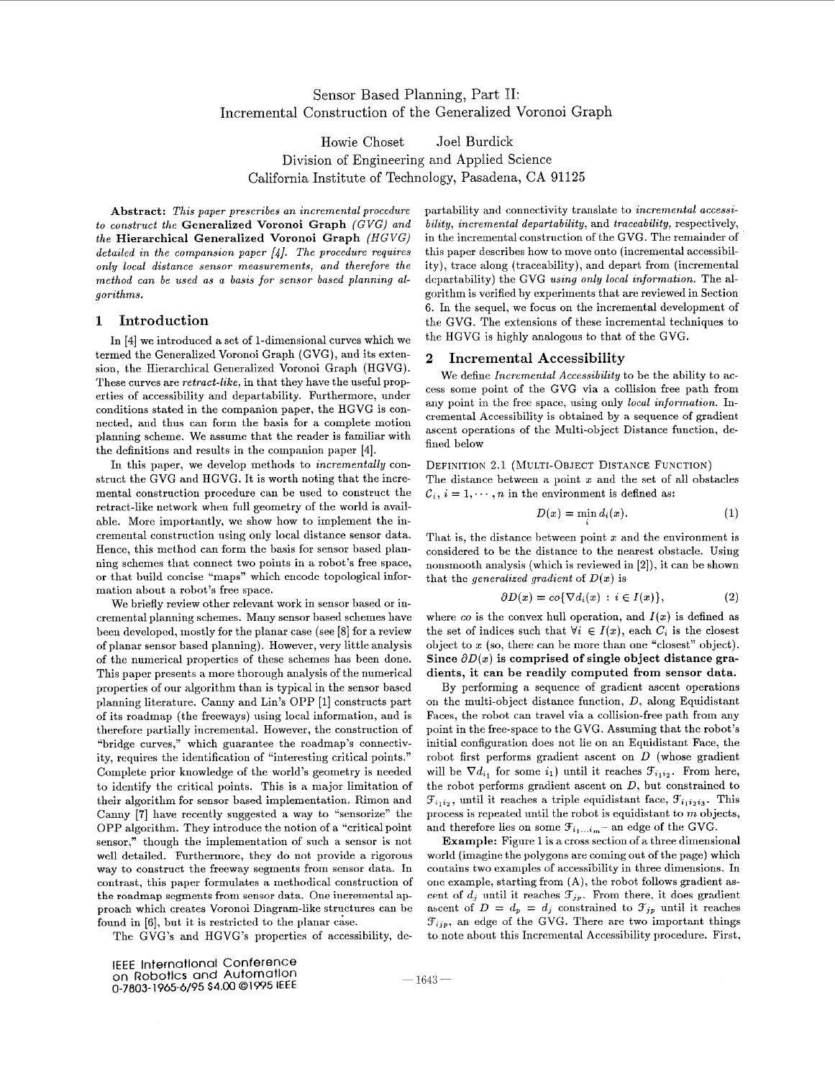# Sensor Based Planning, Part 11: Incremental Construction of the Generalized Voronoi Graph

Howie Choset Joel Burdick Division of Engineering and Applied Science California Institute of Technology, Pasadena, CA 91125

**Abstract:** *This paper prescribes an incremental procedure to construct the* **Generalized Voronoi Graph** *(GVG) and the* **Hierarchical Generalized Voronoi Graph** *(HGVG) detailed in the compansion paper [4]. The procedure requires only local distance sensor measurements, and therefore the*  method can be used as a basis for sensor based planning al*gorithms.* 

## **1 Introduction**

In [4] we introduced **a** set of 1-dimensional curves which we termed the Generalized Voronoi Graph (GVG), and its extension, the Hierarchical Generalized Voronoi Graph (HGVG). These curves are *retract-like,* in that they have the useful properties of accessibility and departability. Furthermore, under conditions stated in the companion paper, the HGVG is connected, and thus can form the basis for *a* complete motion planning scheme. We assume that the reader is familiar with the definitions and results in the companion paper **[4].** 

In this paper, we develop methods to *incrementally* construct the GVG and HGVG. It is worth noting that the incremental construction procedure can be used to construct the retract-like network when full geometry of the world is available. More importantly, we show how to implement the incremental construction using only local distance sensor data. Hence, this method can form the basis for sensor based planning schemes that connect two points in a robot's free space, or that build concise "maps" which encode topological information about a robot's free space.

We briefly review other relevant work in sensor based or incremental planning schemes. Many sensor based schemes have been developed, mostly for the planar case (see [8] for a review of planar sensor based planning). However, very little analysis of the numerical properties of these schemes has been done. This paper presents a more thorough analysis of the numerical properties of our algorithm than is typical in the sensor based planning literature. Canny and Lin's OPP [l] constructs part of its roadmap (the freeways) using local information, and is therefore partially incremental. However, the construction of "bridge curves," which guarantee the roadmap's connectivity, requires the identification of "interesting critical points." Complete prior knowledge of the world's geometry is needed to identify the critical points. This is a major limitation of their algorithm for sensor based implementation. Rimon and Canny **[7]** have recently suggested a way to "sensorize" the OPP algorithm. They introduce the notion of a "critical point sensor," though the implementation of such a sensor is not well detailed. Furthermore, they do not provide a rigorous way to construct the freeway segments from sensor data. In contrast, this paper formulates a methodical construction of the roadmap segments from sensor data. One incremental approach which creates Voronoi Diagram-like structures can be found in [6], but it is restricted to the planar case.

The GVG's and HGVG's properties of accessibility, de-

partability and connectivity translate to *incremental accessibility, incremental departability,* and *traceability,* respectively, in the incremental construction of the GVG. The remainder of this paper describes how to move onto (incremental accessibility), trace along (traceability), and depart from (incremental departability) the GVG *using only local information.* The algorithm is verified by experiments that are reviewed in Section 6. In the sequel, we focus on the incremental development of the GVG. The extensions of these incremental techniques to the HGVG is highly analogous to that of the GVG.

# **2 Incremental Accessibility**

We define *Incrementa1 Accessibility* to be the ability to access some point of the GVG via a collision free path from any point in the free space, using only *local information.* Incremental Accessibility is obtained by a sequence of gradient ascent operations of the Multi-object Distance function, defined below

### DEFINITION 2.1 (MULTI-OBJECT DISTANCE FUNCTION)

The distance between **a** point z and the set of all obstacles  $C_i$ ,  $i = 1, \dots, n$  in the environment is defined as:

$$
D(x) = \min_i d_i(x). \tag{1}
$$

That is, the distance between point  $x$  and the environment is considered to be the distance to the nearest obstacle. Using nonsmooth analysis (which is reviewed in [2]), it can be shown that the *generalized gradient* of  $D(x)$  is

$$
\partial D(x) = co\{\nabla d_i(x) : i \in I(x)\},\tag{2}
$$

where  $\infty$  is the convex hull operation, and  $I(x)$  is defined as the set of indices such that  $\forall i \in I(x)$ , each  $C_i$  is the closest object to  $x$  (so, there can be more than one "closest" object). Since  $\partial D(x)$  is comprised of single object distance gra**dients, it can be readily computed from sensor data.** 

By performing **a** sequence of gradient ascent operations on the multi-object distance function,  $D$ , along Equidistant Faces, the robot can travel via a collision-free path from any point in the free-space to the GVG. Assuming that the robot's initial configuration does not lie on an Equidistant Face, the robot first performs gradient ascent on *D* (whose gradient will be  $\nabla d_{i_1}$  for some  $i_1$ ) until it reaches  $\mathcal{F}_{i_1i_2}$ . From here, the robot performs gradient ascent on *D,* but constrained to  $\mathcal{F}_{i_1i_2}$ , until it reaches a triple equidistant face,  $\mathcal{F}_{i_1i_2i_3}$ . This process is repeated until the robot is equidistant to *m* objects, and therefore lies on some  $\mathcal{F}_{i_1...i_m-}$  an edge of the GVG.

**Example:** [Figure 1](#page-1-0) is a cross section of a three dimensional world (imagine the polygons are coming out of the page) which contains two examples of accessibility in three dimensions. In one example, starting from  $(A)$ , the robot follows gradient ascent of  $d_j$  until it reaches  $\mathcal{F}_{jp}$ . From there, it does gradient ascent of  $D = d_p = d_j$  constrained to  $\mathcal{F}_{jp}$  until it reaches  $\mathcal{F}_{ijp}$ , an edge of the GVG. There are two important things to note about this Incremental Accessibility procedure. First,

 $-1643-$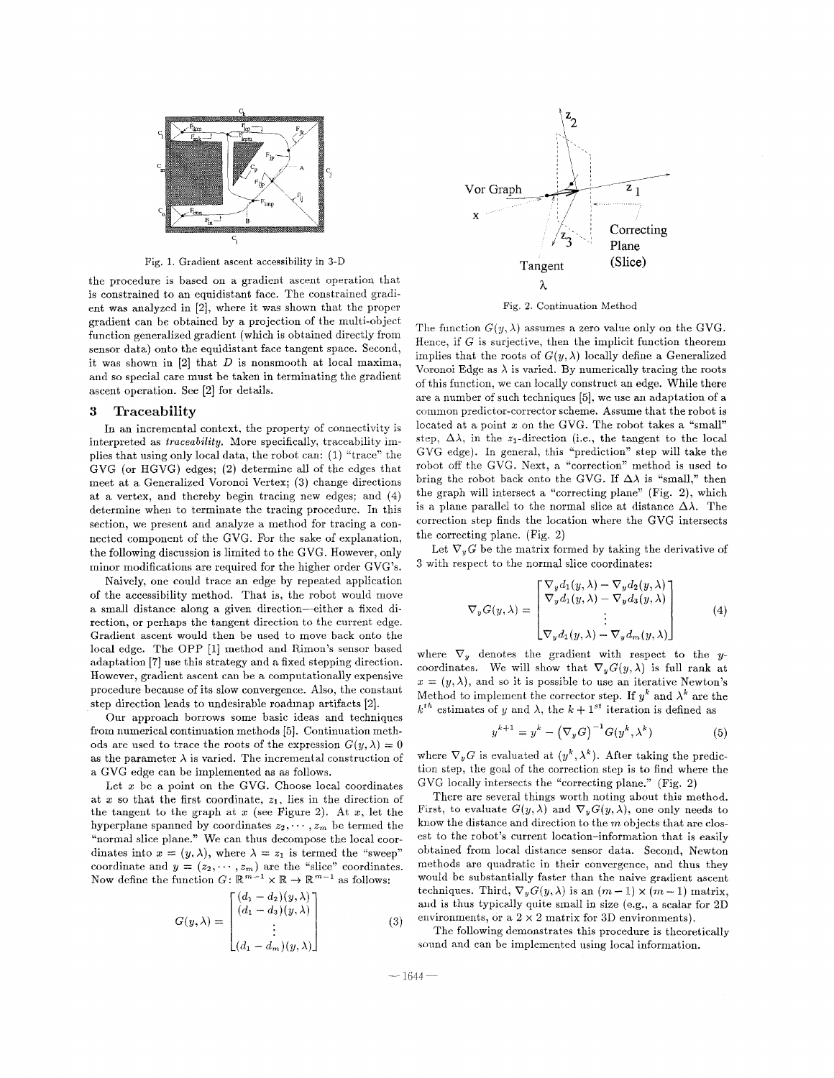<span id="page-1-0"></span>

Fig. 1. Gradient ascent accessibility in 3-D

thc procedure is based on a gradient ascent operation that is constrained to an equidistant face. The constrained gradient was analyzed in [2], where it was shown that the proper gradient can be obtained by **a** projection of the multi-object function generalized gradient (which is obtained directly from sensor data) onto the equidistant face tangent space. Second, it was shown in [2] that *D* is nonsmooth at local maxima, and so special care must be taken in terminating the gradient ascent operation. See [2] for details.

### **3 Traceability**

In an incremental context, the property of connectivity is interpreted as *traceability.* More specifically, traceability implies that using only local data, the robot can: (1) "trace" the GVG (or HGVG) edges; (2) determine all of the edges that rned at a Generalized Voronoi Vertex; *(3)* change directions at a vertex, and thereby begin tracing new edges; and (4) determine when to terminate the tracing procedure. In this section, we present and analyze a method for tracing a connected component of the GVG. For the sake of explanation, the following discussion is limited to the GVG. However, only minor modifications are required for the higher order GVG's.

Naively, one could trace an edge by repeated application of the accessibility method. That is, the robot would move a small distance along a given direction-either **a** fixed direction, or perhaps the tangent direction to the current edge. Gradient ascent would then be used to move back onto the local edge. The OPP **[l]** method and Rimon's sensor based adaptation **[7]** use this strategy and a fixed stepping direction. However, gradient ascent can be a computationally expensive procedure because of its slow convergence. Also, the constant step direction leads to undesirable roadinap artifacts *[2].* 

Our approach borrows some basic ideas and techniques from numerical continuation methods [5]. Continuation methods are used to trace the roots of the expression  $G(y, \lambda) = 0$ as the parameter  $\lambda$  is varied. The incremental construction of **a** GVG edge can be implemented as as follows.

Let z be **a** point on the GVG. Choose local coordinates at x so that the first coordinate,  $z_1$ , lies in the direction of the tangent to the graph at  $x$  (see Figure 2). At  $x$ , let the hyperplane spanned by coordinates  $z_2, \dots, z_m$  be termed the "normal slice plane." We can thus decompose the local coordinates into  $x = (y, \lambda)$ , where  $\lambda = z_1$  is termed the "sweep" coordinate and  $y = (z_2, \dots, z_m)$  are the "slice" coordinates. Now define the function  $G: \mathbb{R}^{m-1} \times \mathbb{R} \to \mathbb{R}^{m-1}$  as follows:

$$
G(y,\lambda) = \begin{bmatrix} (d_1 - d_2)(y,\lambda) \\ (d_1 - d_3)(y,\lambda) \\ \vdots \\ (d_1 - d_m)(y,\lambda) \end{bmatrix}
$$
 (3)



Fig. **2.** Continuation Method

The function  $G(y, \lambda)$  assumes a zero value only on the GVG. Hence, if  $G$  is surjective, then the implicit function theorem implies that the roots of  $G(y, \lambda)$  locally define a Generalized Voronoi Edge as  $\lambda$  is varied. By numerically tracing the roots of this function. we can locally construct an edge. While there are a number of such techniques [5], we use an adaptation of a common predictor-corrector scheme. Assume that the robot is located at **a** point z on the GVG. The robot takes a "small" step.  $\Delta\lambda$ , in the  $z_1$ -direction (i.e., the tangent to the local GVG edge). In general, this "prediction" step will take the robot off the GVG. Next, a "correction" method is used to bring the robot back onto the GVG. If  $\Delta\lambda$  is "small," then the graph will intersect a "correcting plane" (Fig. 2), which is a plane parallel to the normal slice at distance  $\Delta\lambda$ . The correction step finds the location where the GVG intersects the correcting plane. (Fig. 2)

Let  $\nabla_y G$  be the matrix formed by taking the derivative of **3** with respect to the normal slice coordinates:

$$
\nabla_y G(y,\lambda) = \begin{bmatrix}\n\nabla_y d_1(y,\lambda) - \nabla_y d_2(y,\lambda) \\
\nabla_y d_1(y,\lambda) - \nabla_y d_3(y,\lambda) \\
\vdots \\
\nabla_y d_1(y,\lambda) - \nabla_y d_m(y,\lambda)\n\end{bmatrix}
$$
(4)

where  $\nabla_y$  denotes the gradient with respect to the ycoordinates. We will show that  $\nabla_{y}G(y,\lambda)$  is full rank at  $x = (y, \lambda)$ , and so it is possible to use an iterative Newton's Method to implement the corrector step. If  $y^k$  and  $\lambda^k$  are the  $k^{th}$  estimates of y and  $\lambda$ , the  $k + 1^{st}$  iteration is defined as

$$
y^{k+1} = y^k - \left(\nabla_y G\right)^{-1} G(y^k, \lambda^k) \tag{5}
$$

where  $\nabla_y G$  is evaluated at  $(y^k, \lambda^k)$ . After taking the prediction step, the goal of the correction step is to find where the GVG locally intersects the "correcting plane." (Fig. 2)

There are several things worth noting about this method. First, to evaluate  $G(y, \lambda)$  and  $\nabla_y G(y, \lambda)$ , one only needs to know the distance and direction to the *m* objects that are closest to the robot's current location-information that is easily obtained from local distance sensor data. Second, Newton methods are quadratic in their convergence, and thus they would be substantially faster than the naive gradient ascent techniques. Third,  $\nabla_y G(y, \lambda)$  is an  $(m-1) \times (m-1)$  matrix, and is thus typically quite small in size (e.g., a scalar for 2D environments, or a  $2 \times 2$  matrix for 3D environments).

The following demonstrates this procedure is theoretically sound and can be implemented using local information.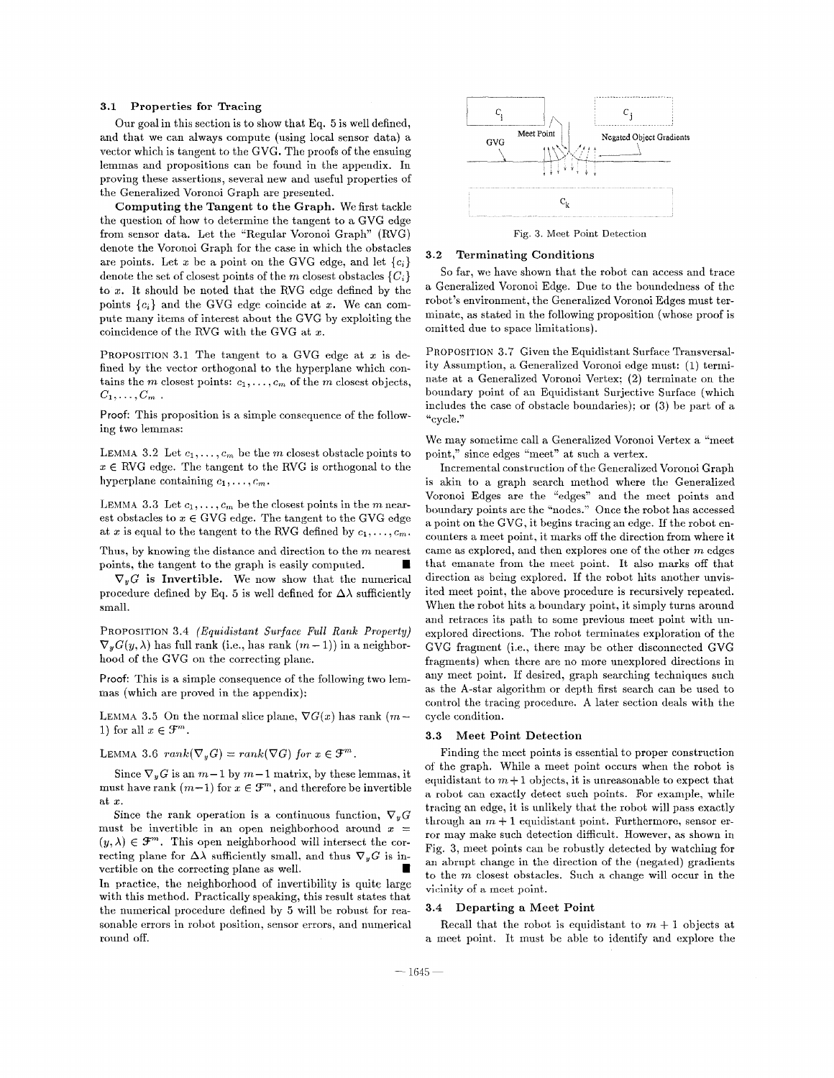#### **3.1 Properties for Tracing**

Our goal in this section is to show that Eq. *5* is well defined, and that we can always compute (using local sensor data) **a**  vector which is tangent to the GVG. The proofs of the ensuing lemmas and propositions can be found in the appendix. In proving these assertions, several new and useful properties of the Generalized Voronoi Graph are presented.

**Computing the Tangent to the Graph.** We first tackle the question of how to determine the tangent to a GVG edge from sensor data. Let the "Regular Voronoi Graph" (RVG) denote the Voronoi Graph for the case in which the obstacles are points. Let x be a point on the GVG edge, and let  ${c_i}$ denote the set of closest points of the *m* closest obstacles  $\{C_i\}$ to *2.* It should be noted that the RVG edge defined by the points  ${c_i}$  and the GVG edge coincide at x. We can compute many items of interest about the GVG by exploiting the coincidence of the RVG with the GVG at z.

PROPOSITION 3.1 The tangent to a GVG edge at  $x$  is defined by the vector orthogonal to the hyperplane which contains the *m* closest points:  $c_1, \ldots, c_m$  of the *m* closest objects,  $C_1,\ldots,C_m$ .

Proof: This proposition is a simple consequence of the following two lemmas:

LEMMA 3.2 Let  $c_1, \ldots, c_m$  be the *m* closest obstacle points to  $x \in RVG$  edge. The tangent to the RVG is orthogonal to the hyperplane containing  $c_1, \ldots, c_m$ .

LEMMA 3.3 Let  $c_1, \ldots, c_m$  be the closest points in the m nearest obstacles to  $x \in$  GVG edge. The tangent to the GVG edge at x is equal to the tangent to the RVG defined by  $c_1, \ldots, c_m$ .

Thus, by knowing the distance and direction to the *m* nearest points, the tangent to the graph is easily computed.

 $\nabla_y G$  is Invertible. We now show that the numerical procedure defined by Eq. 5 is well defined for  $\Delta\lambda$  sufficiently small.

PROPOSITION **3.4** *(Equidistant* Surface *Full Rank Property)*   $\nabla_{u}G(y,\lambda)$  has full rank (i.e., has rank  $(m-1)$ ) in a neighborhood of the GVG on the correcting plane.

Proof: This is **a** simple consequence of the following two lemmas (which are proved in the appendix):

LEMMA 3.5 On the normal slice plane,  $\nabla G(x)$  has rank  $(m-$ 1) for all  $x \in \mathcal{F}^m$ .

LEMMA 3.6  $rank(\nabla_u G) = rank(\nabla G)$  for  $x \in \mathcal{F}^m$ ,

Since  $\nabla_{\theta} G$  is an  $m-1$  by  $m-1$  matrix, by these lemmas, it must have rank  $(m-1)$  for  $x \in \mathcal{F}^m$ , and therefore be invertible at *2.* 

Since the rank operation is a continuous function,  $\nabla_y G$ must be invertible in an open neighborhood around  $x =$  $(y, \lambda) \in \mathcal{F}^m$ . This open neighborhood will intersect the correcting plane for  $\Delta\lambda$  sufficiently small, and thus  $\nabla_y G$  is invertible on the correcting plane as well.

In practice, **thc** neighborhood of invertibility is quite large with this method. Practically speaking, this result states that the numerical procedure defined by 5 will be robust for reasonable errors in robot position, sensor errors, and numerical round off.



Fig. **3.** Meet Point Detection

#### **3.2 Terminating Conditions**

So far, we have shown that the robot can access and trace a Generalized Voronoi Edge. Due to the boundedness of the robot's environment, the Generalized Voronoi Edges must terminate, as stated in the following proposition (whose proof is omitted due to space limitations).

PROPOSITION *3.7* Given the Equidistant Surface Transversality Assumption, **a** Generalized Voronoi edge must: (1) terminate at **a** Generalized Voronoi Vertex: **(2)** terminate on the boundary point of **an** Equidistant Surjective Surface (which includes the case of obstacle boundaries); or **(3)** be part of **a**  "cycle."

We may sometime call a Generalized Voronoi Vertex **a** "meet point," since edges "meet" at such a vertex.

Incremental construction of the Generalized Voronoi Graph is akin to a graph search method where the Generalized Voronoi Edges are the "edges" and the meet points and boundary points are the "nodes." Once the robot has accessed a point on thc GVG, it begins tracing an edge. If the robot encounters a meet point, it marks off the direction from where it came as explored, and then explores one of the other *m* edges that emanate from the meet point. It also marks off that direction as being explored. If the robot hits another unvisited meet point, the above procedure is recursively repeated. When the robot hits a boundary point, it simply turns around and retraces its path to some previous meet point with unexplored directions. The robot terminates exploration of the GVG fragment (i.e., there may be other disconnected GVG fragments) when there are no more unexplored directions in any meet point. If desired, graph searching techniques such as the A-star algorithm or depth first search can be used to control the tracing procedure. A later section deals with the cycle condition.

#### **3.3 Meet Point Detection**

Finding the meet points is essential to proper construction of the graph. While a meet point occurs when the robot is equidistant to  $m+1$  objects, it is unreasonable to expect that a robot can cxactly detect such points. For example, while tracing an edge, it is unlikely that the robot will pass exactly through an  $m + 1$  equidistant point. Furthermore, sensor error may make such detection difficult. However, as shown in Fig. 3, meet points can be robustly detected by watching for an abrupt change in the direction of the (negated) gradients to the *m* closest Obstacles. Such a change will occur in the vicinity of a meet point.

#### **3.4 Departing a Meet Point**

Recall that the robot is equidistant to  $m + 1$  objects at a meet point. It must he able to identify and explore the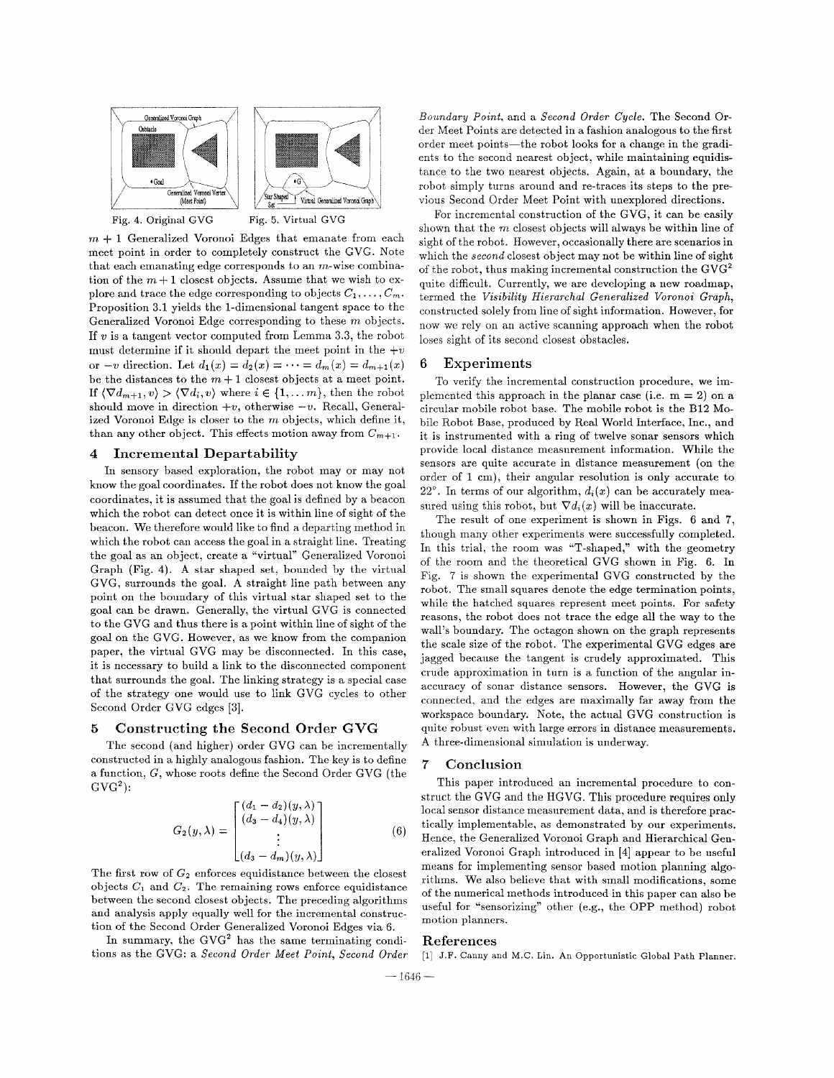

 $m + 1$  Generalized Voronoi Edges that emanate from each meet point in order to completely construct the GVG. Note that each emanating edge corresponds to an  $m$ -wise combination of the  $m+1$  closest objects. Assume that we wish to explore and trace the edge corresponding to objects  $C_1, \ldots, C_m$ . Proposition **3.1** yields the 1-dimensional tangent space to the Generalized Voronoi Edge corresponding to these *m* objects. If v is a tangent vector computed from Lemma **3.3,** the robot must determine if it should depart the meet point in the  $+v$ or *-v* direction. Let  $d_1(x) = d_2(x) = \cdots = d_m(x) = d_{m+1}(x)$ be the distances to the  $m+1$  closest objects at a meet point. If  $\langle \nabla d_{m+1}, v \rangle > \langle \nabla d_i, v \rangle$  where  $i \in \{1, \ldots, m\}$ , then the robot should move in direction  $+v$ , otherwise  $-v$ . Recall, Generalized Voronoi Edge is closer to the *m* objects, which define it, than any other object. This effects motion away from  $C_{m+1}$ .

### **4** Incremental Departability

In sensory based exploration, the robot may or may not know the goal coordinates. If the robot does not know the goal coordinates, it is assumed that the goal is defined by **a** beacon which the robot can detect once it is within line of sight of the beacon. We therefore would like to find a departing method in which the robot can access the goal in a straight line. Treating the goal as an object, create a "virtual" Generalized Voronoi Graph (Fig. **4). A** star shaped set, bounded by the virtual GVG, surrounds the goal. A straight line path between any point on the boundary of this virtual star shaped set to the goal can he drawn. Generally, the virtual GVG is connected to the GVG and thus there is a point within line of sight of the goal on the GVG. However, as we know from the companion paper, the virtual GVG may be disconnected. In this case, it is necessary to build a link to the disconnected component that surrounds the goal. The linking strategy is a special case of the strategy one would use to link GVG cycles to other Second Order GVG edges **[3].** 

### *5* Constructing the Second Order GVG

The second (and higher) order GVG can be incrementally constructed in a highly analogous fashion. The key is to define a function, G, whose roots define the Second Order GVG (the  $GVG<sup>2</sup>$ :

$$
G_2(y,\lambda) = \begin{bmatrix} (d_1 - d_2)(y,\lambda) \\ (d_3 - d_4)(y,\lambda) \\ \vdots \\ (d_3 - d_m)(y,\lambda) \end{bmatrix}
$$
 (6)

The first row of  $G_2$  enforces equidistance between the closest objects  $C_1$  and  $C_2$ . The remaining rows enforce equidistance between the second closest objects. The preceding algorithms and analysis apply equally well for the incremental construction of the Second Order Generalized Voronoi Edges via 6.

In summary, the GVG' has the same terminating conditions as the GVG: a *Second Order Meet Point, Second Order*  *Boundary Point,* and a *Second Order Cycle.* The Second Order Meet Points are detected in a fashion analogous to the first order meet points-the robot looks for **a** change in the gradients to the second nearest object, while maintaining equidistance to the two nearest objects. Again, at a boundary, the robot simply turns around and re-traces its steps to the previous Second Order Meet Point with unexplored directions.

For incremental construction of the GVG, it can be easily shown that the *m* closest objects will always be within line of sight of the robot. However, occasionally there are scenarios in which the *second* closest object may not be within line of sight of the robot, thus making incremental construction the GVG2 quite difficult. Currently, we are developing a new roadmap, termed the *Visibility Hierarchal Generalized Voronoi Graph,*  constructed solely from line of sight information. However, for now we rely on an active scanning approach when the robot loses sight of its second closest obstacles.

# 6 Experiments

To verify the incremental construction procedure, we implemented this approach in the planar case (i.e.  $m = 2$ ) on a circular mobile robot base. The mobile robot is the B12 Mobile Robot Base, produced by Real World Interface, Inc., and it is instrumented with a ring of twelve sonar sensors which provide local distance measurement information. While the sensors are quite accurate in distance measurement (on the order of 1 cm), their angular resolution is only accurate to  $22^\circ$ . In terms of our algorithm,  $d_i(x)$  can be accurately measured using this robot, but  $\nabla d_i(x)$  will be inaccurate.

The result of one experiment is shown in [Figs.](#page-4-0) [6](#page-4-0) and *7,*  though many other experiments were successfully completed. In this trial. the room was "T-shaped," with the geometry of the room and the theoretical GVG shown in [Fig.](#page-4-0) [6.](#page-4-0) In [Fig.](#page-4-0) [7](#page-4-0) is shown the experimental GVG constructed by the robot. The small squares denote the edge termination points, while the hatched squares represent meet points. For safety reasons, the robot does not trace the edge all the way to the wall's boundary. The octagon shown on the graph represents the scale size of the robot. The experimental GVG edges are jagged because the tangent is crudely approximated. This crude approximation in turn is a function of the angular inaccuracy of sonar distance sensors. However, the GVG is connected, and the edges are maximally far away from the workspace boundary. Note, the actual GVG construction is quite robust even with large errors in distance measurements. A three-dimensional simulation is underway.

# 7 Conclusion

This paper introduced an incremental procedure to construct the GVG and the HGVG. This procedure requires only local sensor distance measurement data, and is therefore practically implementable, as demonstrated by our experiments. Hence, the Generalized Voronoi Graph and Hierarchical Generalized Voronoi Graph introduced in [4] appear to be useful means for implementing sensor based motion planning algorithms. We also believe that with small modifications, some of the numerical methods introduced in this paper can also be useful for "sensorizing" other (e.g., the OPP method) robot motion planners.

#### References

[l] J.F. Canny and M.C. Lin. An Opportunistic Global Path Planner.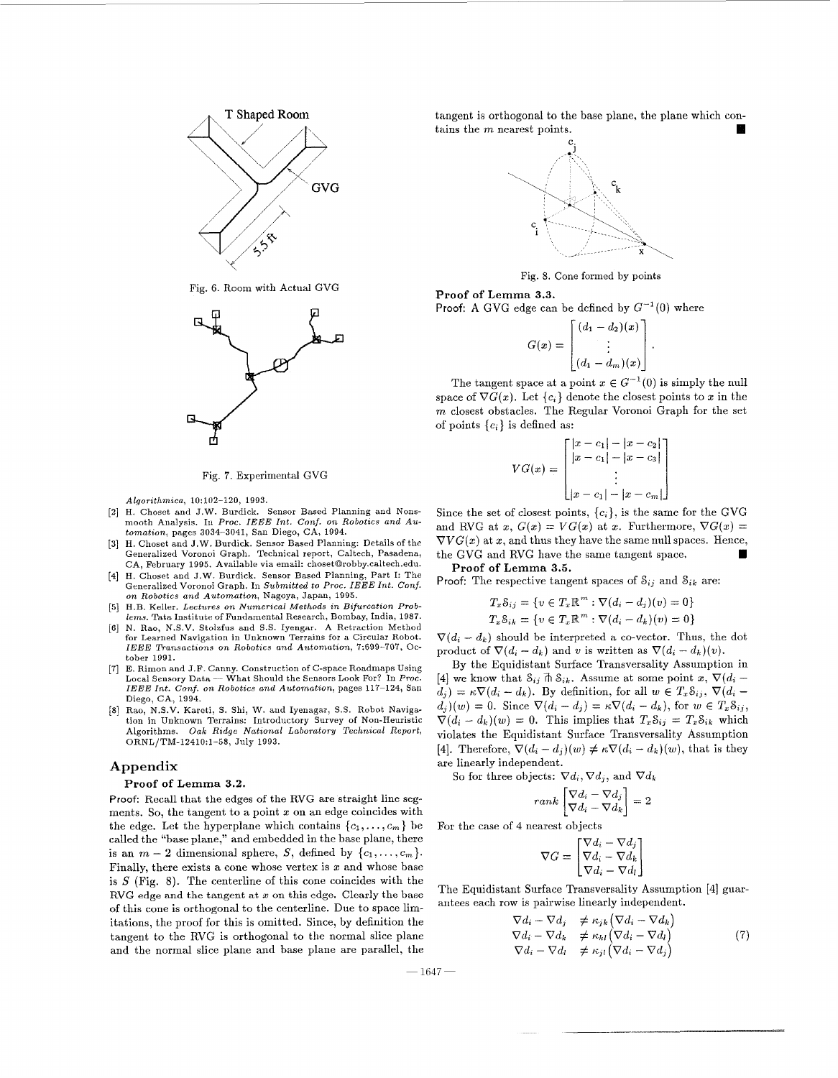<span id="page-4-0"></span>

Fig. **6.** Room with Actual GVG



Fig. **7.** Experimental GVG

 $Algorithmica, 10:102-120, 1993.$ 

- [2] H. Choset and J.W. Burdick. Sensor Based Planning and Nonsmooth Analysis. In Proc. *IEEE Int. Conf. on Robotics and Au*tomation, pages 3034-3041, San Diego, CA, 1994.
- [3] **H.** Choset and J.W. Burdick. Sensor Based Planning: Details of the Generalized Voronoi Graph. Technical report, Caltech, Pasadena, CA, February 1995. Available via email: [choset@robby.caltech.edu.](mailto:choset@robby.caltech.edu)
- [4] H. Choset and J.W. Burdick. Sensor Based Planning, Part I: The Generalized Voronoi Graph. In Submitted to Proc. IEEE Int. Conf. on Robotics and Automation, Nagoya, Japan, 1995.
- [5] H.B. Keller. Lectures on Numerical Methods in Bifurcation Problems. Tata Institute of Fundamental Research, Bombay, India, 1987.
- [6] N. Rao, N.S.V. Stolefus and S.S. Iyengar. A Retraction Method for Learned Navigation in Unknown Terrains for a Circular Robot. *IEEE Transactions on Robotics and Automation, 7:699-707, Oc*tober 1991.
- [7] E. Rimon and J.F. Canny. Construction of C-space Roadmaps Using *IEEE Int. Conf.* on Robotics and Automation, pages 117-124, San Diego, CA, 1994.
- Rao, N.S.V. Kareti, S. Shi, W. and Iyenagar, S.S. Robot Navigation in Unknown Terrains: Introductory Survey of Non-Heuristic Algorithms. Oak Ridge National Laboratory Technical Report, ORNL/TM-12410:1-58, July 1993.

### **Appendix**

### Proof of Lemma **3.2.**

Proof: Recall that the edges of the RVG are straight line segments. So, the tangent to a point  $x$  on an edge coincides with the edge. Let the hyperplane which contains  $\{c_1, \ldots, c_m\}$  be called the "base plane," and embedded in the base plane, there is an  $m-2$  dimensional sphere, S, defined by  $\{c_1,\ldots,c_m\}$ . Finally, there exists a cone whose vertex is  $x$  and whose base is  $S$  (Fig. 8). The centerline of this cone coincides with the of this cone is orthogonal to the ceuterline. Due to space limitations, the proof for this is omitted. Since, by definition the tangent to the RVG is orthogonal to the normal slice plane and the normal slice plane and base plane are parallel, the RVG edge and the tangent at  $x$  on this edge. Clearly the base tangent is orthogonal to the base plane, the plane which contains the *m* nearest points.



Fig. 8. Cone formed by points

#### **Proof of Lemma 3.3.**

Proof: A GVG edge can be defined by 
$$
G^{-1}(0)
$$
 where  

$$
G(x) = \begin{bmatrix} (d_1 - d_2)(x) \\ \vdots \\ (d_1 - d_m)(x) \end{bmatrix}.
$$

The tangent space at a point  $x \in G^{-1}(0)$  is simply the null space of  $\nabla G(x)$ . Let  $\{c_i\}$  denote the closest points to x in the *m* closest obstacles. The Regular Voronoi Graph for the set of points  ${c_i}$  is defined as:

$$
VG(x) = \begin{bmatrix} |x - c_1| - |x - c_2| \\ |x - c_1| - |x - c_3| \\ \vdots \\ |x - c_1| - |x - c_m| \end{bmatrix}
$$

Since the set of closest points,  ${c_i}$ , is the same for the GVG and RVG at x,  $G(x) = VG(x)$  at x. Furthermore,  $\nabla G(x) =$  $\nabla V G(x)$  at x, and thus they have the same null spaces. Hence, the GVG and RVG have the same tangent space. Proof of Lemma 3.5.

Proof: The respective tangent spaces of  $S_{ij}$  and  $S_{ik}$  are:

$$
T_x S_{ij} = \{v \in T_x \mathbb{R}^m : \nabla (d_i - d_j)(v) = 0\}
$$
  

$$
T_x S_{ik} = \{v \in T_x \mathbb{R}^m : \nabla (d_i - d_k)(v) = 0\}
$$

 $\nabla(d_i - d_k)$  should be interpreted a co-vector. Thus, the dot product of  $\nabla (d_i - d_k)$  and *v* is written as  $\nabla (d_i - d_k)(v)$ .

Local Sensory Data -- What Should the Sensors Look For? In Proc. [4] we know that  $S_{ij} \uparrow \hbar S_{ik}$ . Assume at some point  $x, \nabla (d_i - d_i)$ <br>LEEE Int. Conf. on Robotics and Automation, pages 117-124, San  $d_j$  =  $\kappa \nabla (d_i - d_k$ By the Equidistant Surface Transversality Assumption in [4] we know that  $S_{ij}$   $\vec{\theta}$   $S_{ik}$ . Assume at some point *x*,  $\nabla (d_i$  $d_j(v) = 0$ . Since  $\nabla (d_i - d_j) = \kappa \nabla (d_i - d_k)$ , for  $w \in T_x \mathcal{S}_{ij}$ ,  $\nabla (d_i - d_k)(w) = 0$ . This implies that  $T_x \mathcal{S}_{ij} = T_x \mathcal{S}_{ik}$  which violates the Equidistant Surface Transversality Assumption [4]. Therefore,  $\nabla (d_i - d_j)(w) \neq \kappa \nabla (d_i - d_k)(w)$ , that is they are linearly independent.

So for three objects:  $\nabla d_i$ ,  $\nabla d_j$ , and  $\nabla d_k$ 

$$
rank \begin{bmatrix} \nabla d_i - \nabla d_j \\ \nabla d_i - \nabla d_k \end{bmatrix} = 2
$$

For the case of 4 nearest objects

$$
\nabla G = \begin{bmatrix} \nabla d_i - \nabla d_j \\ \nabla d_i - \nabla d_k \\ \nabla d_i - \nabla d_l \end{bmatrix}
$$

The Equidistant Surface Transversality Assumption [4] guarantees each row is pairwise linearly independent.

$$
\nabla d_i - \nabla d_j \neq \kappa_{jk} (\nabla d_i - \nabla d_k)
$$
\n
$$
\nabla d_i - \nabla d_k \neq \kappa_{kl} (\nabla d_i - \nabla d_l)
$$
\n
$$
\nabla d_i - \nabla d_l \neq \kappa_{jl} (\nabla d_i - \nabla d_j)
$$
\n(7)

16 47